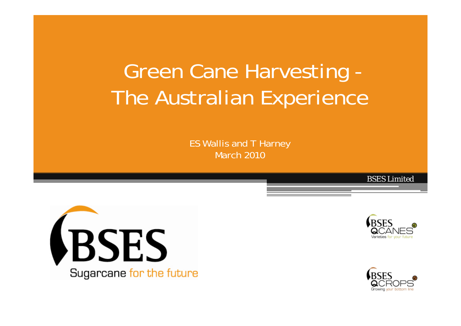# Green Cane Harvesting - The Australian Experience

ES Wallis and T Harney March 2010

**VBSES** Sugarcane for the future



*BSES Limited*

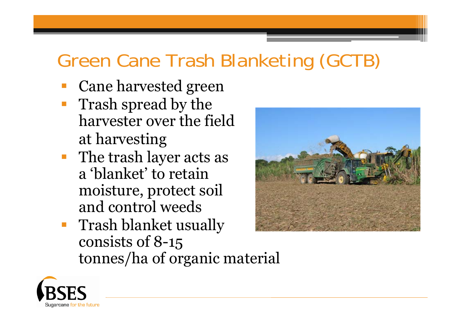### Green Cane Trash Blanketing (GCTB)

- Cane harvested green
- Trash spread by the harvester over the field at harvesting
- **The trash layer acts as** <sup>a</sup>'blanket' to retain moisture, protect soil and control weeds
- **Trash blanket usually** consists of 8-15 tonnes/ha of organic material



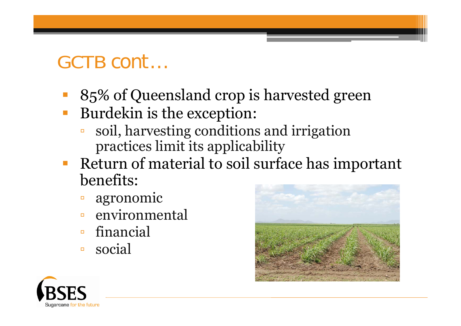#### GCTB *cont…*

- 85% of Queensland crop is harvested green
- Burdekin is the exception:
	- ▫ soil, harvesting conditions and irrigation practices limit its applicability
- Return of material to soil surface has important benefits:
	- $\Box$ agronomic
	- $\Box$ environmental
	- $\Box$ financial
	- $\Box$ social



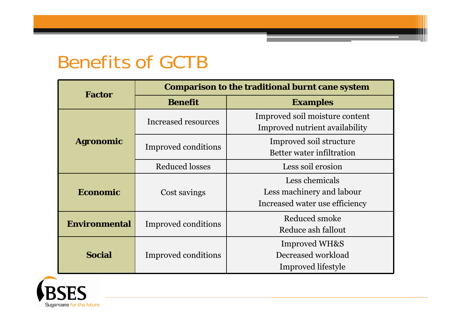#### Benefits of GCTB

| <b>Factor</b>        | <b>Comparison to the traditional burnt cane system</b> |                                                                               |  |
|----------------------|--------------------------------------------------------|-------------------------------------------------------------------------------|--|
|                      | <b>Benefit</b>                                         | <b>Examples</b>                                                               |  |
| <b>Agronomic</b>     | Increased resources                                    | Improved soil moisture content<br>Improved nutrient availability              |  |
|                      | Improved conditions                                    | Improved soil structure<br>Better water infiltration                          |  |
|                      | <b>Reduced losses</b>                                  | Less soil erosion                                                             |  |
| <b>Economic</b>      | Cost savings                                           | Less chemicals<br>Less machinery and labour<br>Increased water use efficiency |  |
| <b>Environmental</b> | Improved conditions                                    | Reduced smoke<br>Reduce ash fallout                                           |  |
| <b>Social</b>        | Improved conditions                                    | <b>Improved WH&amp;S</b><br>Decreased workload<br>Improved lifestyle          |  |

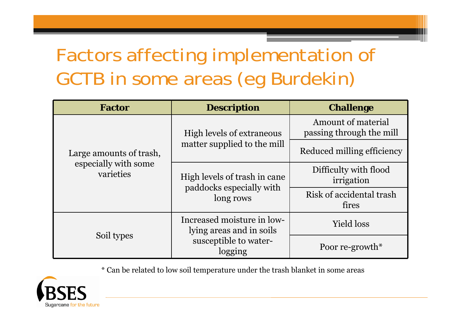## Factors affecting implementation of GCTB in some areas (eg Burdekin)

| <b>Factor</b>                     | <b>Description</b>                                     | <b>Challenge</b>                               |
|-----------------------------------|--------------------------------------------------------|------------------------------------------------|
|                                   | High levels of extraneous                              | Amount of material<br>passing through the mill |
| Large amounts of trash,           | matter supplied to the mill                            | Reduced milling efficiency                     |
| especially with some<br>varieties | High levels of trash in cane                           | Difficulty with flood<br>irrigation            |
|                                   | paddocks especially with<br>long rows                  | Risk of accidental trash<br>fires              |
|                                   | Increased moisture in low-<br>lying areas and in soils | <b>Yield loss</b>                              |
| Soil types                        | susceptible to water-<br>logging                       | Poor re-growth $*$                             |

\* Can be related to low soil temperature under the trash blanket in some areas

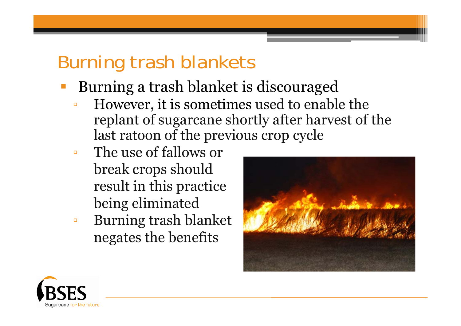#### Burning trash blankets

- Burning a trash blanket is discouraged
	- $\Box$  However, it is sometimes used to enable the replant of sugarcane shortly after harvest of the last ratoon of the previous crop cycle
	- $\Box$  The use of fallows or break crops should result in this practice being eliminated
	- $\Box$  Burning trash blanket negates the benefits



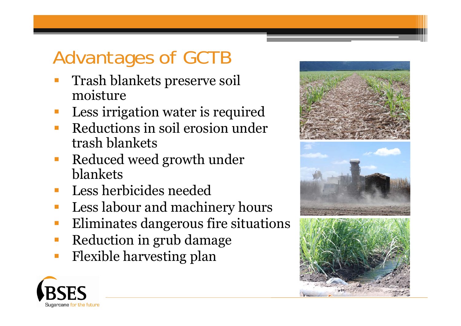## Advantages of GCTB

- Trash blankets preserve soil moisture
- Less irrigation water is required
- Reductions in soil erosion under trash blankets
- Reduced weed growth under blankets
- Less herbicides needed
- Less labour and machinery hours
- Eliminates dangerous fire situations
- Reduction in grub damage
- Flexible harvesting plan







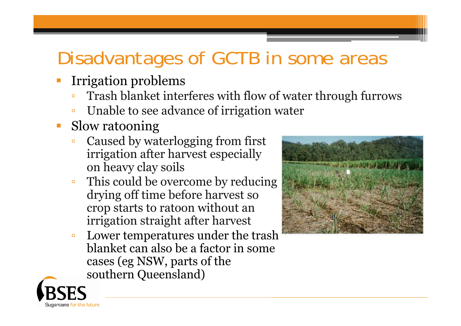## Disadvantages of GCTB in some areas

- Irrigation problems
	- $\Box$ Trash blanket interferes with flow of water through furrows
	- $\Box$ Unable to see advance of irrigation water
- Slow ratooning
	- $\Box$  Caused by waterlogging from first irrigation after harvest especially on heavy clay soils
	- ▫ This could be overcome by reducing drying off time before harvest so crop starts to ratoon without an irrigation straight after harvest
	- $\Box$  Lower temperatures under the trash blanket can also be a factor in some cases (eg NSW, parts of the southern Queensland)



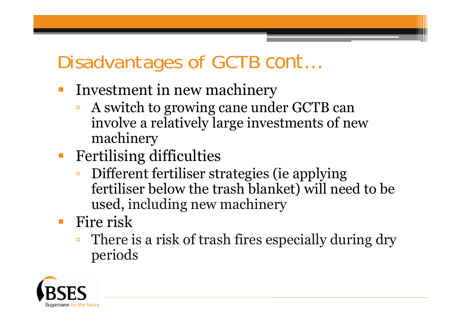### Disadvantages of GCTB *cont…*

- F Investment in new machinery
	- $\Box$  A switch to growing cane under GCTB can involve a relatively large investments of new machinery
- $\overline{\mathbb{R}}$  Fertilising difficulties
	- $\Box$  Different fertiliser strategies (ie applying fertiliser below the trash blanket) will need to be used, including new machinery
- **Fire risk** 
	- $\Box$  There is a risk of trash fires especially during dry periods

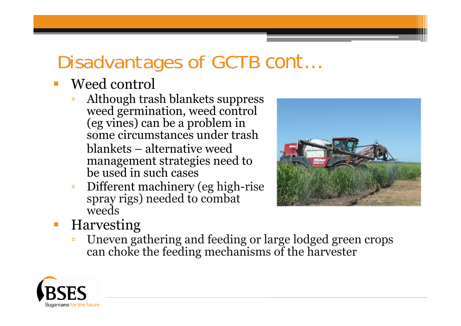## Disadvantages of GCTB *cont…*

#### Weed control

- $\Box$  Although trash blankets suppress weed germination, weed control (eg vines) can be a problem in some circumstances under trash blankets – alternative weed management strategies need to be used in such cases
- $\blacksquare$  Different machinery (eg high-rise spray rigs) needed to combat weeds



#### Harvesting

 $\Box$ **Uneven gathering and feeding or large lodged green crops** can choke the feeding mechanisms of the harvester

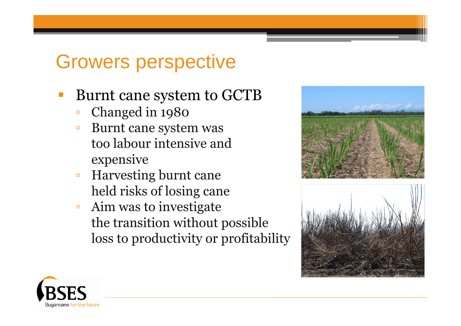### Growers perspective

- Burnt cane system to GCTB
	- $\Box$ Changed in 1980
	- $\Box$  Burnt cane system was too labour intensive and expensive
	- $\Box$  Harvesting burnt cane held risks of losing cane
	- $\Box$  Aim was to investigate the transition without possible loss to productivity or profitability





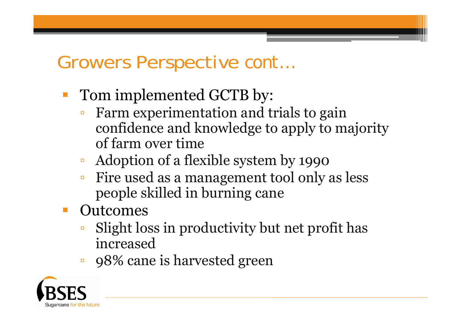#### Growers Perspective *cont…*

- Tom implemented GCTB by:
	- Farm experimentation and trials to gain confidence and knowledge to apply to majority of farm over time
	- $\Box$ Adoption of a flexible system by 1990
	- ▫ Fire used as a management tool only as less people skilled in burning cane
	- **Outcomes** 
		- Slight loss in productivity but net profit has increased
		- $\Box$ 98% cane is harvested green